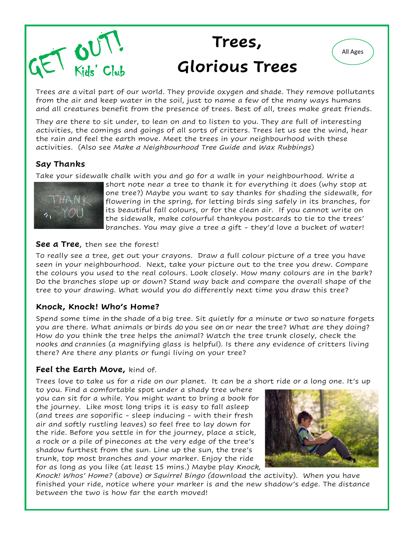

## **Trees, Glorious Trees**

Trees are a vital part of our world. They provide oxygen and shade. They remove pollutants from the air and keep water in the soil, just to name a few of the many ways humans and all creatures benefit from the presence of trees. Best of all, trees make great friends.

They are there to sit under, to lean on and to listen to you. They are full of interesting activities, the comings and goings of all sorts of critters. Trees let us see the wind, hear the rain and feel the earth move. Meet the trees in your neighbourhood with these activities. (Also see *Make a Neighbourhood Tree Guide* and *Wax Rubbings*)

#### **Say Thanks**

Take your sidewalk chalk with you and go for a walk in your neighbourhood. Write a



short note near a tree to thank it for everything it does (why stop at one tree?) Maybe you want to say thanks for shading the sidewalk, for flowering in the spring, for letting birds sing safely in its branches, for its beautiful fall colours, or for the clean air. If you cannot write on the sidewalk, make colourful thankyou postcards to tie to the trees' branches. You may give a tree a gift - they'd love a bucket of water!

#### **See a Tree**, then see the forest!

To really see a tree, get out your crayons. Draw a full colour picture of a tree you have seen in your neighbourhood. Next, take your picture out to the tree you drew. Compare the colours you used to the real colours. Look closely. How many colours are in the bark? Do the branches slope up or down? Stand way back and compare the overall shape of the tree to your drawing. What would you do differently next time you draw this tree?

#### **Knock, Knock! Who's Home?**

Spend some time in the shade of a big tree. Sit quietly for a minute or two so nature forgets you are there. What animals or birds do you see on or near the tree? What are they doing? How do you think the tree helps the animal? Watch the tree trunk closely, check the nooks and crannies (a magnifying glass is helpful). Is there any evidence of critters living there? Are there any plants or fungi living on your tree?

#### **Feel the Earth Move,** kind of.

Trees love to take us for a ride on our planet. It can be a short ride or a long one. It's up

to you. Find a comfortable spot under a shady tree where you can sit for a while. You might want to bring a book for the journey. Like most long trips it is easy to fall asleep (and trees are soporific - sleep inducing - with their fresh air and softly rustling leaves) so feel free to lay down for the ride. Before you settle in for the journey, place a stick, a rock or a pile of pinecones at the very edge of the tree's shadow furthest from the sun. Line up the sun, the tree's trunk, top most branches and your marker. Enjoy the ride for as long as you like (at least 15 mins.) Maybe play *Knock,* 



All Ages

*Knock! Whos' Home?* (above) or *Squirrel Bingo (*download the activity). When you have finished your ride, notice where your marker is and the new shadow's edge. The distance between the two is how far the earth moved!